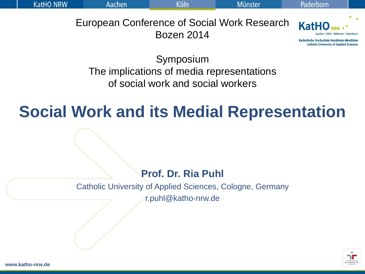**KatHO NRW** 

European Conference of Social Work Research Bozen 2014



Katholische Hochschule Nordrhein-Westfalen **Catholic University of Applied Sciences** 

Symposium The implications of media representations of social work and social workers

### **Social Work and its Medial Representation**

**Prof. Dr. Ria Puhl**

Catholic University of Applied Sciences, Cologne, Germany r.puhl@katho-nrw.de



**www.katho-nrw.de**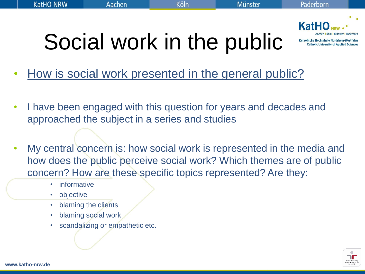

# Social work in the public

- How is social work presented in the general public?
- I have been engaged with this question for years and decades and approached the subject in a series and studies
- My central concern is: how social work is represented in the media and how does the public perceive social work? Which themes are of public concern? How are these specific topics represented? Are they:
	- informative
	- objective
	- blaming the clients
	- blaming social work
	- scandalizing or empathetic etc.

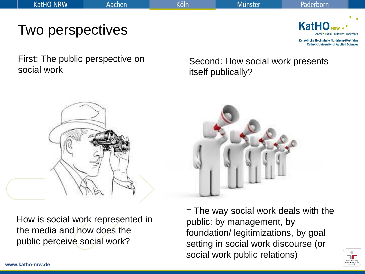**KatH** 

Katholische Hochschule Nordrhein-Westfalen **Catholic University of Applied Sciences** 

First: The public perspective on social work

Two perspectives

Second: How social work presents itself publically?



How is social work represented in the media and how does the public perceive social work?



= The way social work deals with the public: by management, by foundation/ legitimizations, by goal setting in social work discourse (or social work public relations)

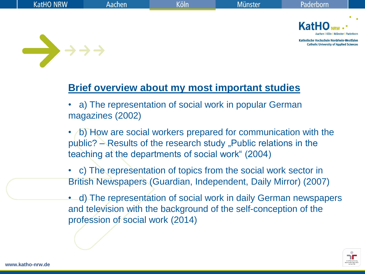

#### **Brief overview about my most important studies**

• a) The representation of social work in popular German magazines (2002)

• b) How are social workers prepared for communication with the  $pubic? - Results$  of the research study "Public relations in the teaching at the departments of social work" (2004)

- c) The representation of topics from the social work sector in British Newspapers (Guardian, Independent, Daily Mirror) (2007)
- d) The representation of social work in daily German newspapers and television with the background of the self-conception of the profession of social work (2014)

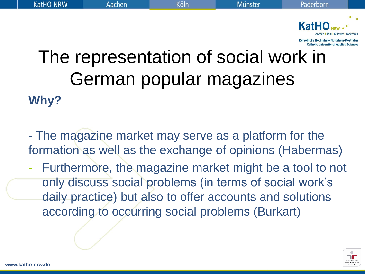

### The representation of social work in German popular magazines **Why?**

- The magazine market may serve as a platform for the formation as well as the exchange of opinions (Habermas)

Furthermore, the magazine market might be a tool to not only discuss social problems (in terms of social work"s daily practice) but also to offer accounts and solutions according to occurring social problems (Burkart)

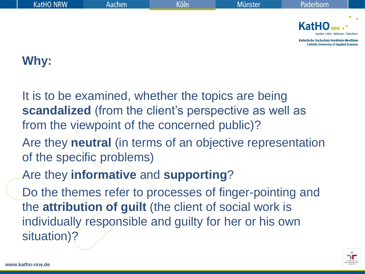| KatHO NRW | Aachen | Köln | <b>Münster</b> | Paderborn                                                                                    |  |
|-----------|--------|------|----------------|----------------------------------------------------------------------------------------------|--|
|           |        |      |                |                                                                                              |  |
|           |        |      |                | $KatHO_{NRW}$ .<br>Aachen I Köln I Münster I Paderborn                                       |  |
|           |        |      |                | Katholische Hochschule Nordrhein-Westfalen<br><b>Catholic University of Applied Sciences</b> |  |
|           |        |      |                |                                                                                              |  |

#### **Why:**

It is to be examined, whether the topics are being **scandalized** (from the client's perspective as well as from the viewpoint of the concerned public)?

- Are they **neutral** (in terms of an objective representation of the specific problems)
- Are they **informative** and **supporting**?

Do the themes refer to processes of finger-pointing and the **attribution of guilt** (the client of social work is individually responsible and guilty for her or his own situation)?

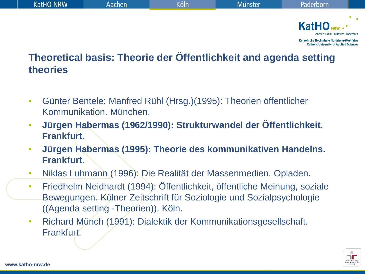

#### **Theoretical basis: Theorie der Öffentlichkeit and agenda setting theories**

- Günter Bentele; Manfred Rühl (Hrsg.)(1995): Theorien öffentlicher Kommunikation. München.
- **Jürgen Habermas (1962/1990): Strukturwandel der Öffentlichkeit. Frankfurt.**
- **Jürgen Habermas (1995): Theorie des kommunikativen Handelns. Frankfurt.**
- Niklas Luhmann (1996): Die Realität der Massenmedien. Opladen.
- Friedhelm Neidhardt (1994): Öffentlichkeit, öffentliche Meinung, soziale Bewegungen. Kölner Zeitschrift für Soziologie und Sozialpsychologie ((Agenda setting -Theorien)). Köln.
- Richard Münch (1991): Dialektik der Kommunikationsgesellschaft. Frankfurt.

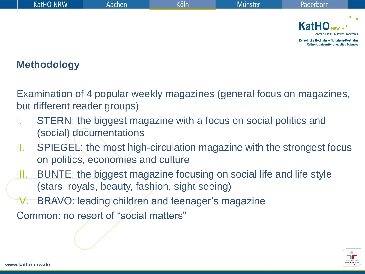| <b>KatHO NRW</b> | Aachen | Köln | Münster <sup>1</sup> | Paderborn                                                                                                                                                   |  |
|------------------|--------|------|----------------------|-------------------------------------------------------------------------------------------------------------------------------------------------------------|--|
|                  |        |      |                      |                                                                                                                                                             |  |
|                  |        |      |                      | KatHO <sub>NRW</sub><br>Aachen   Köln   Münster   Paderborn<br>Katholische Hochschule Nordrhein-Westfalen<br><b>Catholic University of Applied Sciences</b> |  |

#### **Methodology**

Examination of 4 popular weekly magazines (general focus on magazines, but different reader groups)

- STERN: the biggest magazine with a focus on social politics and (social) documentations
- II. SPIEGEL: the most high-circulation magazine with the strongest focus on politics, economies and culture
- III. BUNTE: the biggest magazine focusing on social life and life style (stars, royals, beauty, fashion, sight seeing)
- IV. BRAVO: leading children and teenager's magazine

Common: no resort of "social matters"

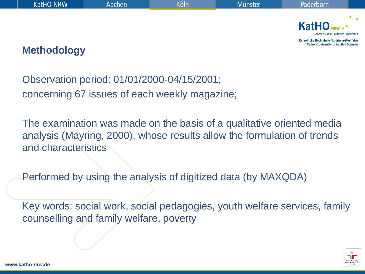| <b>KatHO NRW</b>   | 'Aachen | (öln | <b>Münster</b> | Paderborn                                                                                    |  |
|--------------------|---------|------|----------------|----------------------------------------------------------------------------------------------|--|
|                    |         |      |                |                                                                                              |  |
|                    |         |      |                | $KatHO_{NRW}.$<br>Aachen   Köln   Münster   Paderborn                                        |  |
| <b>Methodology</b> |         |      |                | Katholische Hochschule Nordrhein-Westfalen<br><b>Catholic University of Applied Sciences</b> |  |

#### **Methodology**

Observation period: 01/01/2000-04/15/2001; concerning 67 issues of each weekly magazine;

The examination was made on the basis of a qualitative oriented media analysis (Mayring, 2000), whose results allow the formulation of trends and characteristics

Performed by using the analysis of digitized data (by MAXQDA)

Key words: social work, social pedagogies, youth welfare services, family counselling and family welfare, poverty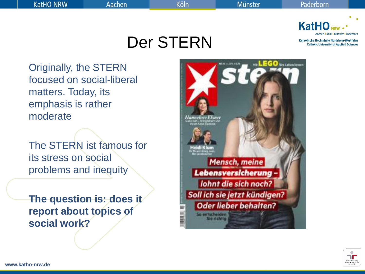Köln

Der STERN



Katholische Hochschule Nordrhein-Westfalen **Catholic University of Applied Sciences** 

Originally, the STERN focused on social-liberal matters. Today, its emphasis is rather moderate

The STERN ist famous for its stress on social problems and inequity

**The question is: does it report about topics of social work?**



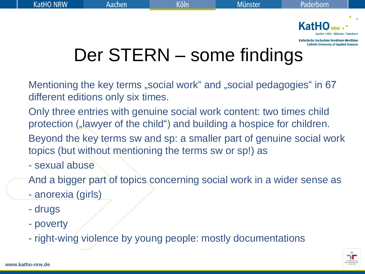

# Der STERN – some findings

Mentioning the key terms "social work" and "social pedagogies" in 67 different editions only six times.

Only three entries with genuine social work content: two times child protection ("lawyer of the child") and building a hospice for children.

Beyond the key terms sw and sp: a smaller part of genuine social work topics (but without mentioning the terms sw or sp!) as

- sexual abuse

And a bigger part of topics concerning social work in a wider sense as

- anorexia (girls)

- drugs
- poverty
- right-wing violence by young people: mostly documentations

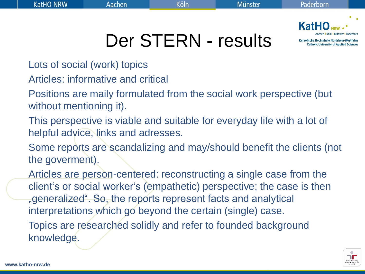

Der STERN - results

- Lots of social (work) topics
- Articles: informative and critical
- Positions are maily formulated from the social work perspective (but without mentioning it).
- This perspective is viable and suitable for everyday life with a lot of helpful advice, links and adresses.
- Some reports are scandalizing and may/should benefit the clients (not the goverment).
- Articles are person-centered: reconstructing a single case from the client"s or social worker"s (empathetic) perspective; the case is then "generalized". So, the reports represent facts and analytical interpretations which go beyond the certain (single) case.
- Topics are researched solidly and refer to founded background knowledge.

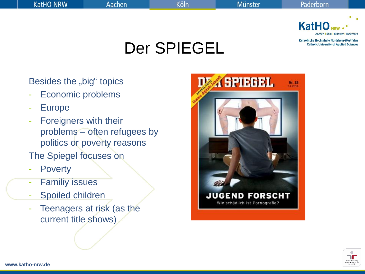

### Der SPIEGEL

Besides the "big" topics

- Economic problems
- **Europe**
- Foreigners with their problems – often refugees by politics or poverty reasons
- The Spiegel focuses on
- **Poverty**
- **Familiy issues**
- Spoiled children
- Teenagers at risk (as the current title shows)



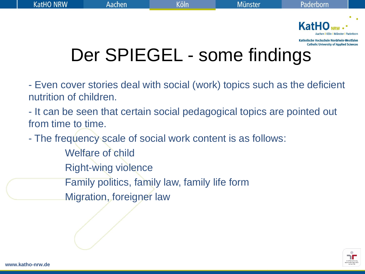

# Der SPIEGEL - some findings

- Even cover stories deal with social (work) topics such as the deficient nutrition of children.
- It can be seen that certain social pedagogical topics are pointed out from time to time.
- The frequency scale of social work content is as follows: Welfare of child Right-wing violence Family politics, family law, family life form Migration, foreigner law

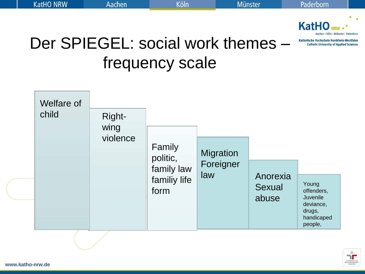

### Der SPIEGEL: social work themes – frequency scale



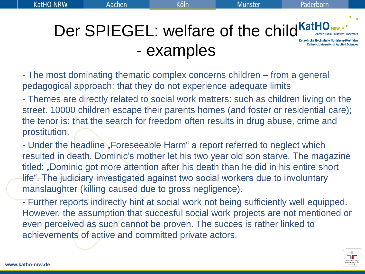Der SPIEGEL: welfare of the child KatHO NRW ...

**Catholic University of Applied Sciences** 

- The most dominating thematic complex concerns children – from a general pedagogical approach: that they do not experience adequate limits

- examples

- Themes are directly related to social work matters: such as children living on the street. 10000 children escape their parents homes (and foster or residential care); the tenor is: that the search for freedom often results in drug abuse, crime and prostitution.

- Under the headline "Foreseeable Harm" a report referred to neglect which resulted in death. Dominic's mother let his two year old son starve. The magazine titled: "Dominic got more attention after his death than he did in his entire short life". The judiciary investigated against two social workers due to involuntary manslaughter (killing caused due to gross negligence).

- Further reports indirectly hint at social work not being sufficiently well equipped. However, the assumption that succesful social work projects are not mentioned or even perceived as such cannot be proven. The succes is rather linked to achievements of active and committed private actors.

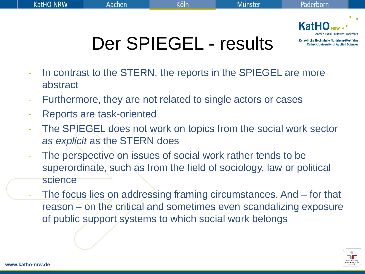

# Der SPIEGEL - results

- In contrast to the STERN, the reports in the SPIEGEL are more abstract
- Furthermore, they are not related to single actors or cases
- Reports are task-oriented
- The SPIEGEL does not work on topics from the social work sector *as explicit* as the STERN does
- The perspective on issues of social work rather tends to be superordinate, such as from the field of sociology, law or political science
- The focus lies on addressing framing circumstances. And for that reason – on the critical and sometimes even scandalizing exposure of public support systems to which social work belongs

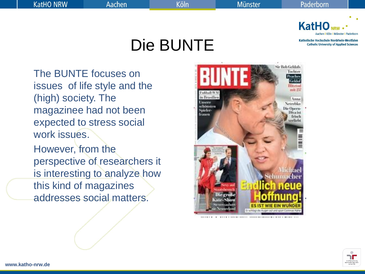Köln

Die BUNTE



Katholische Hochschule Nordrhein-Westfalen **Catholic University of Applied Sciences** 

The BUNTE focuses on issues of life style and the (high) society. The magazinee had not been expected to stress social work issues.

However, from the perspective of researchers it is interesting to analyze how this kind of magazines addresses social matters.



**www.katho-nrw.de**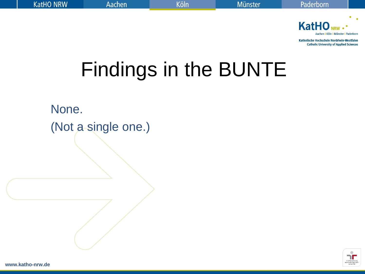

# Findings in the BUNTE

None. (Not a single one.)



**www.katho-nrw.de**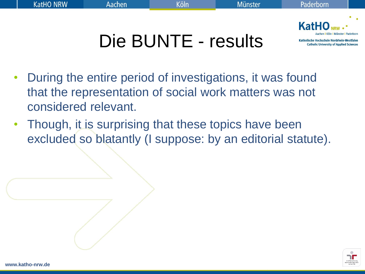



**Catholic University of Applied Sciences** 

# Die BUNTE - results

- During the entire period of investigations, it was found that the representation of social work matters was not considered relevant.
- Though, it is surprising that these topics have been excluded so blatantly (I suppose: by an editorial statute).

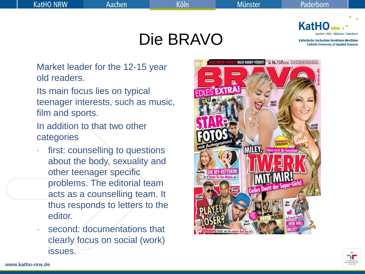Köln

Die BRAVO



Katholische Hochschule Nordrhein-Westfalen **Catholic University of Applied Sciences** 

Market leader for the 12-15 year old readers.

Its main focus lies on typical teenager interests, such as music, film and sports.

In addition to that two other categories

- first: counselling to questions about the body, sexuality and other teenager specific problems. The editorial team acts as a counselling team. It thus responds to letters to the editor.
- second: documentations that clearly focus on social (work) issues.



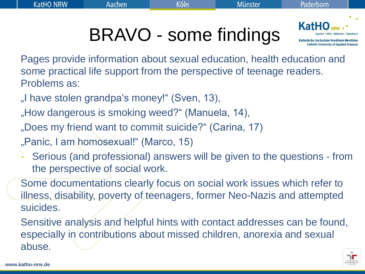**KatH** 

Katholische Hochschule Nordrhein-Westfalen **Catholic University of Applied Sciences** 

BRAVO - some findings

Pages provide information about sexual education, health education and some practical life support from the perspective of teenage readers. Problems as:

"I have stolen grandpa's money!" (Sven, 13),

"How dangerous is smoking weed?" (Manuela, 14),

"Does my friend want to commit suicide?" (Carina, 17)

"Panic, I am homosexual!" (Marco, 15)

Serious (and professional) answers will be given to the questions - from the perspective of social work.

Some documentations clearly focus on social work issues which refer to illness, disability, poverty of teenagers, former Neo-Nazis and attempted suicides.

Sensitive analysis and helpful hints with contact addresses can be found, especially in contributions about missed children, anorexia and sexual abuse.

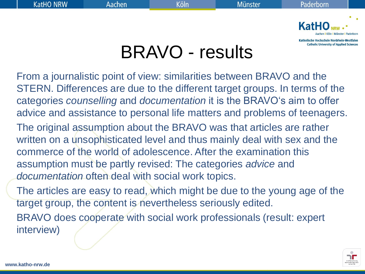

**Catholic University of Applied Sciences** 

### BRAVO - results

From a journalistic point of view: similarities between BRAVO and the STERN. Differences are due to the different target groups. In terms of the categories *counselling* and *documentation* it is the BRAVO"s aim to offer advice and assistance to personal life matters and problems of teenagers.

The original assumption about the BRAVO was that articles are rather written on a unsophisticated level and thus mainly deal with sex and the commerce of the world of adolescence. After the examination this assumption must be partly revised: The categories *advice* and *documentation* often deal with social work topics.

The articles are easy to read, which might be due to the young age of the target group, the content is nevertheless seriously edited.

BRAVO does cooperate with social work professionals (result: expert interview)

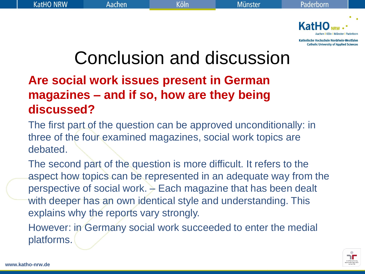

### Conclusion and discussion

#### **Are social work issues present in German magazines – and if so, how are they being discussed?**

The first part of the question can be approved unconditionally: in three of the four examined magazines, social work topics are debated.

The second part of the question is more difficult. It refers to the aspect how topics can be represented in an adequate way from the perspective of social work. – Each magazine that has been dealt with deeper has an own identical style and understanding. This explains why the reports vary strongly.

However: in Germany social work succeeded to enter the medial platforms.

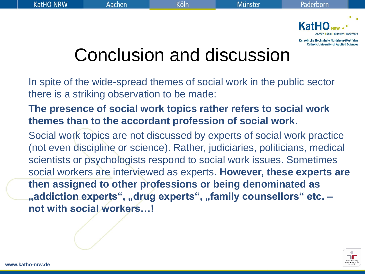

## Conclusion and discussion

In spite of the wide-spread themes of social work in the public sector there is a striking observation to be made:

#### **The presence of social work topics rather refers to social work themes than to the accordant profession of social work**.

Social work topics are not discussed by experts of social work practice (not even discipline or science). Rather, judiciaries, politicians, medical scientists or psychologists respond to social work issues. Sometimes social workers are interviewed as experts. **However, these experts are then assigned to other professions or being denominated as**  "addiction experts", "drug experts", "family counsellors" etc. **not with social workers…!**

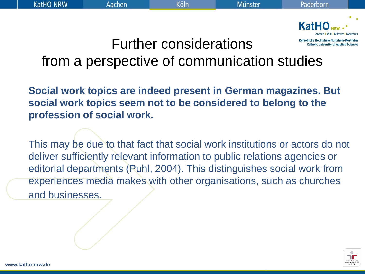

### Further considerations from a perspective of communication studies

**Social work topics are indeed present in German magazines. But social work topics seem not to be considered to belong to the profession of social work.** 

This may be due to that fact that social work institutions or actors do not deliver sufficiently relevant information to public relations agencies or editorial departments (Puhl, 2004). This distinguishes social work from experiences media makes with other organisations, such as churches and businesses.

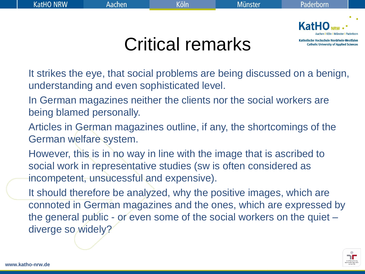

**Catholic University of Applied Sciences** 

### Critical remarks

- It strikes the eye, that social problems are being discussed on a benign, understanding and even sophisticated level.
- In German magazines neither the clients nor the social workers are being blamed personally.
- Articles in German magazines outline, if any, the shortcomings of the German welfare system.
- However, this is in no way in line with the image that is ascribed to social work in representative studies (sw is often considered as incompetent, unsucessful and expensive).
- It should therefore be analyzed, why the positive images, which are connoted in German magazines and the ones, which are expressed by the general public - or even some of the social workers on the quiet – diverge so widely?